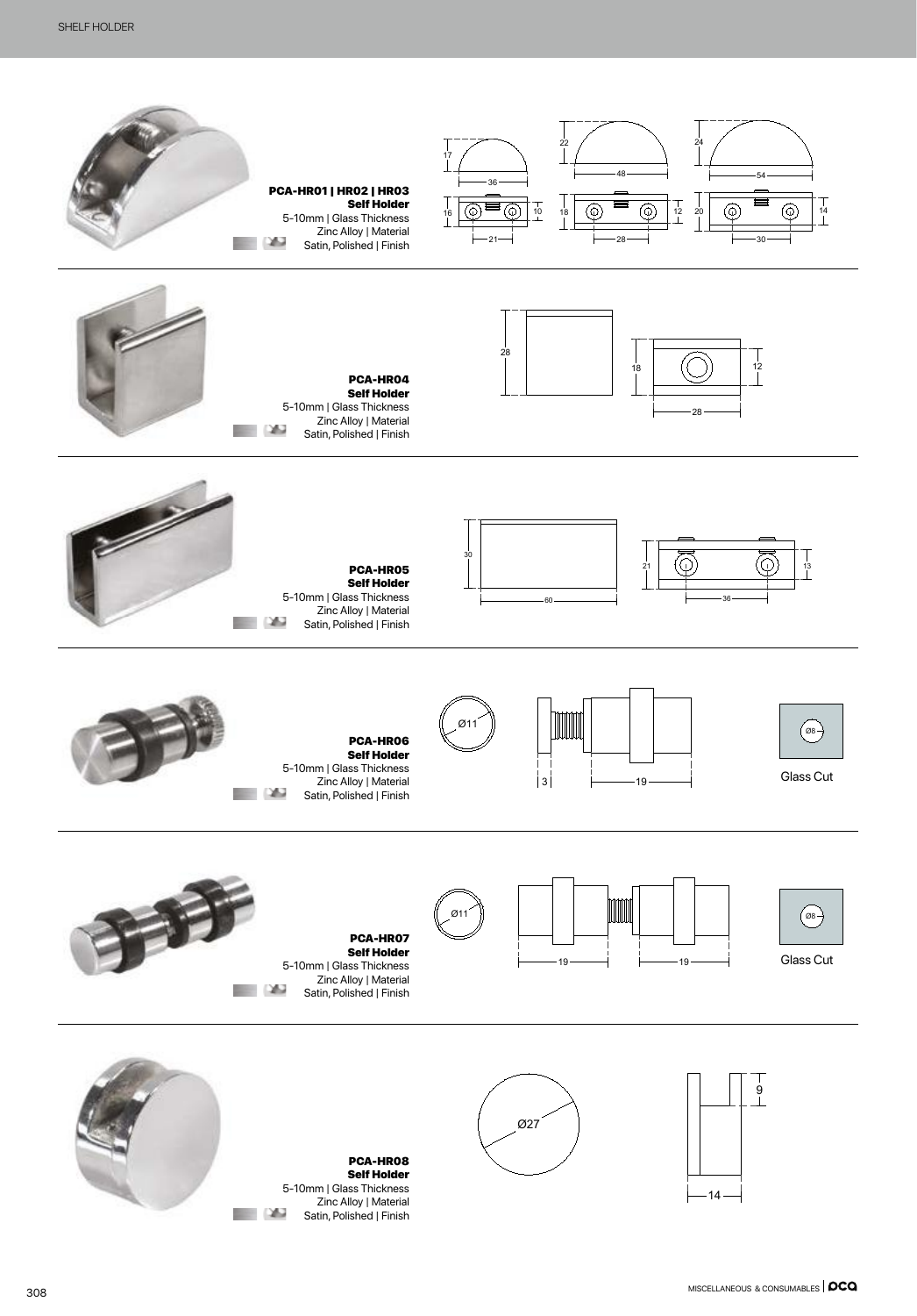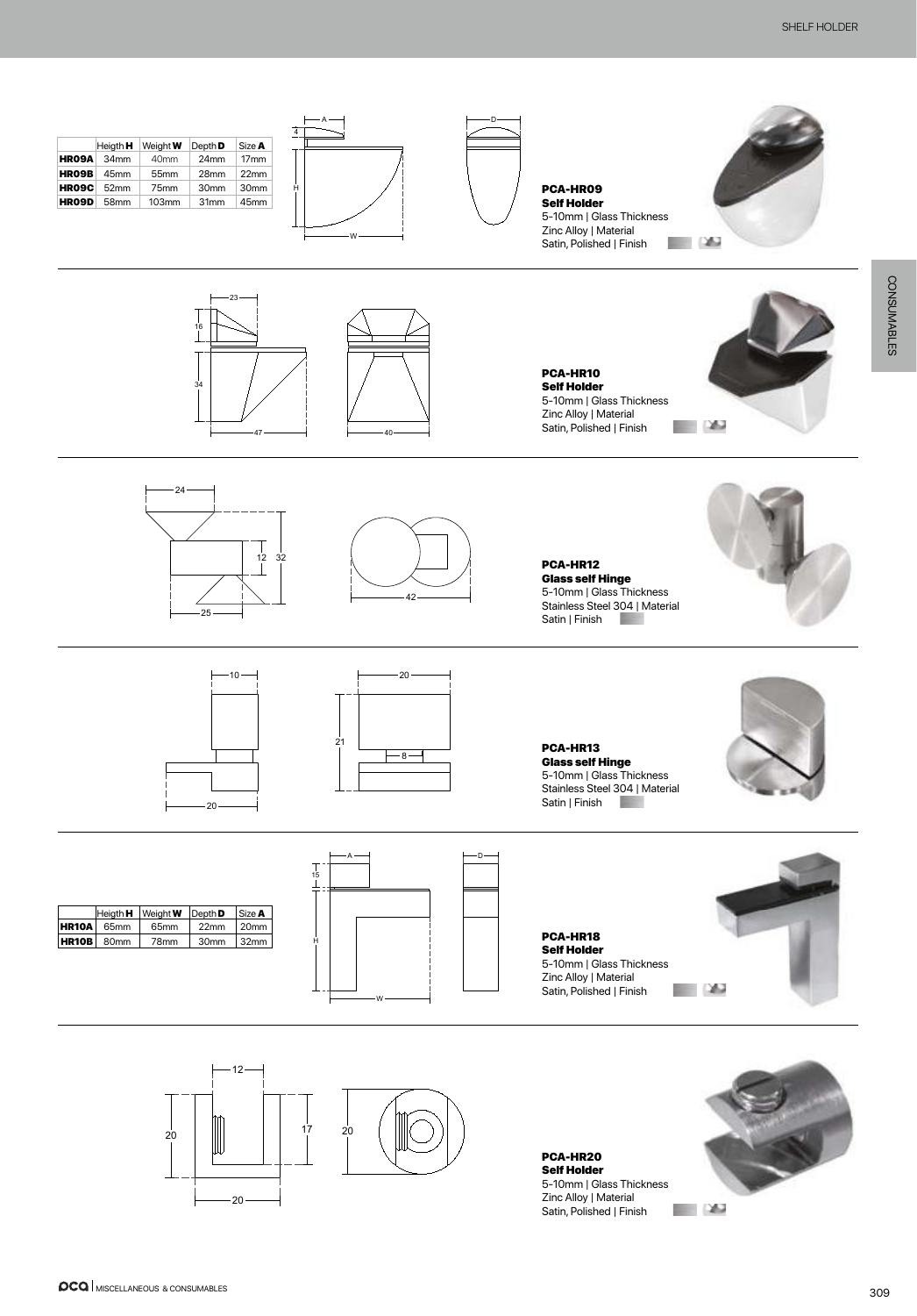

PCA-HR20 Self Holder 5-10mm | Glass Thickness Zinc Alloy | Material Satin, Polished | Finish

20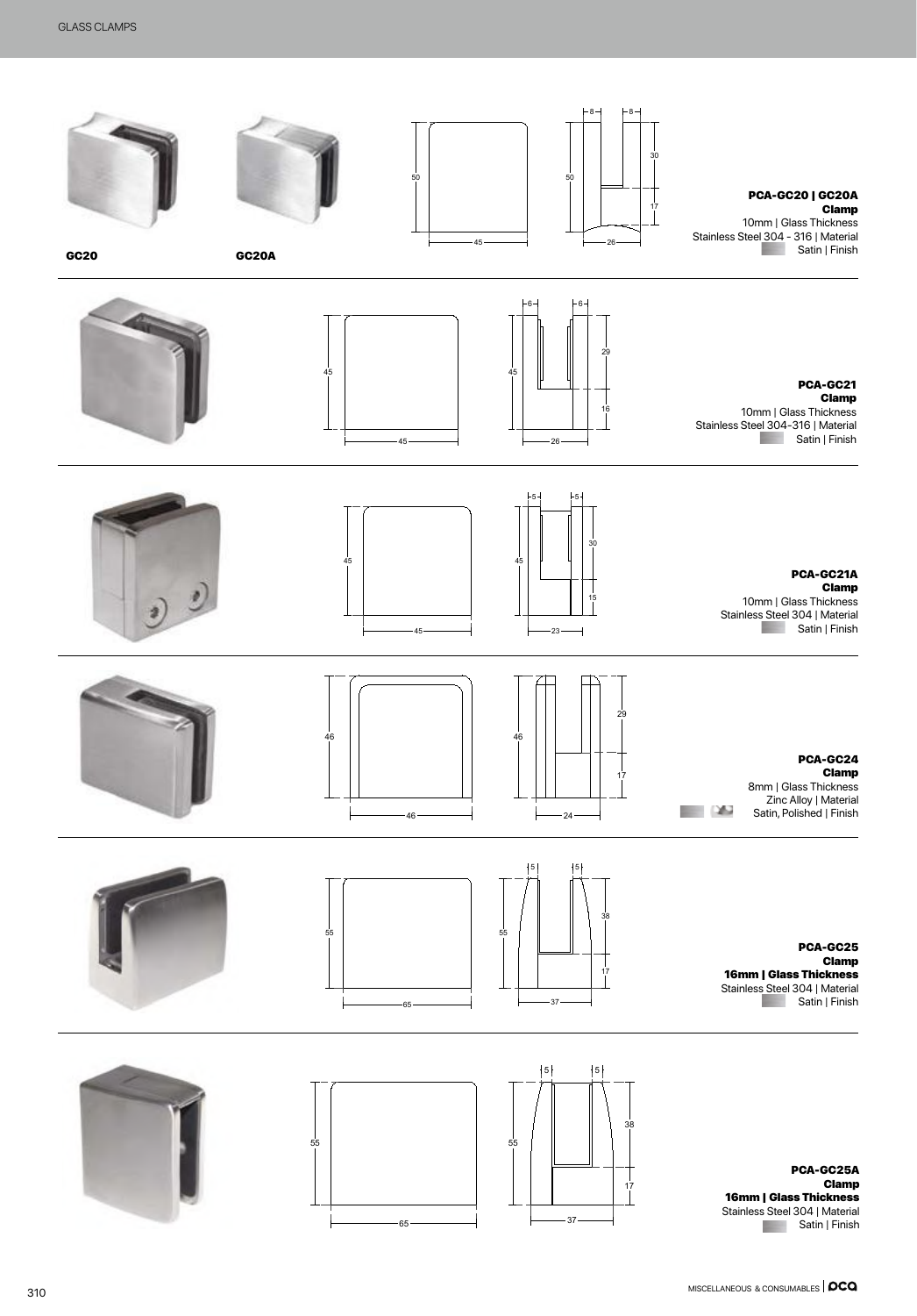